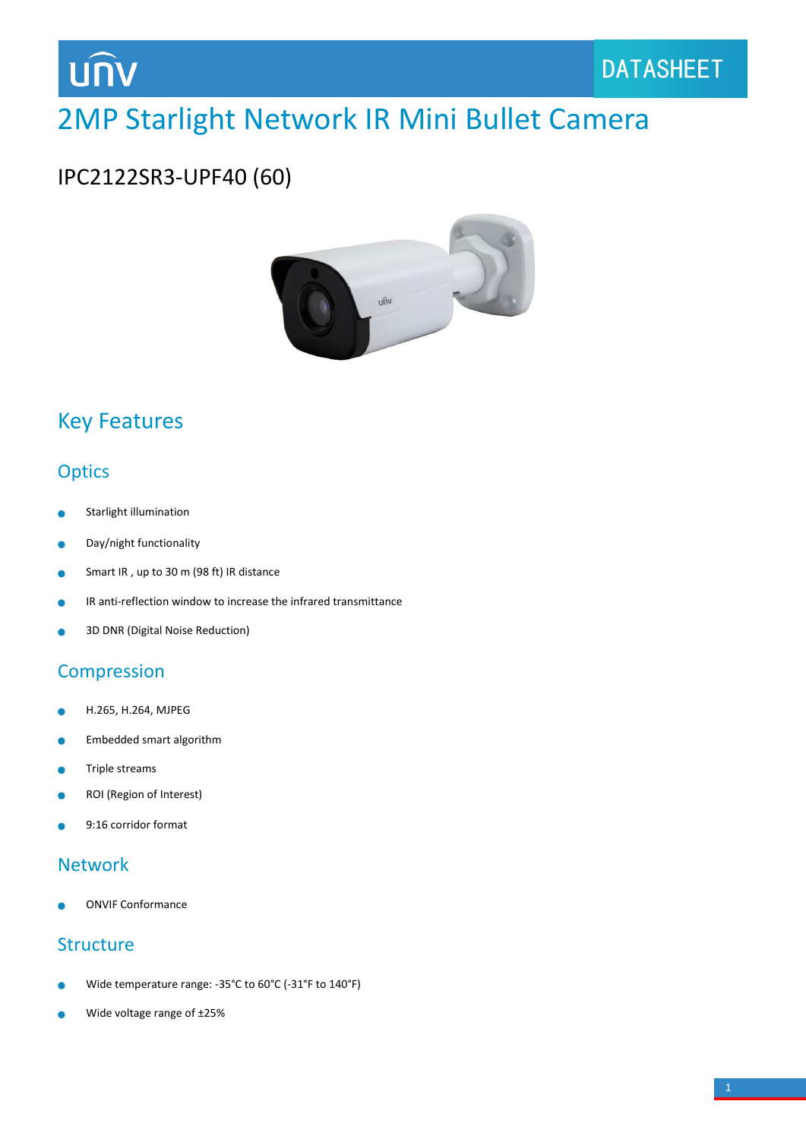

# 2MP Starlight Network IR Mini Bullet Camera

## IPC2122SR3-UPF40 (60)



# Key Features

## **Optics**

- Starlight illumination
- Day/night functionality  $\bullet$
- Smart IR , up to 30 m (98 ft) IR distance  $\bullet$
- IR anti-reflection window to increase the infrared transmittance Ä
- 3D DNR (Digital Noise Reduction)  $\bullet$

## **Compression**

- H.265, H.264, MJPEG  $\bullet$
- Embedded smart algorithm ò
- Triple streams Ŏ
- ROI (Region of Interest)  $\bullet$
- 9:16 corridor format

## Network

ONVIF Conformance

#### **Structure**

- Wide temperature range: -35°C to 60°C (-31°F to 140°F)
- Wide voltage range of ±25%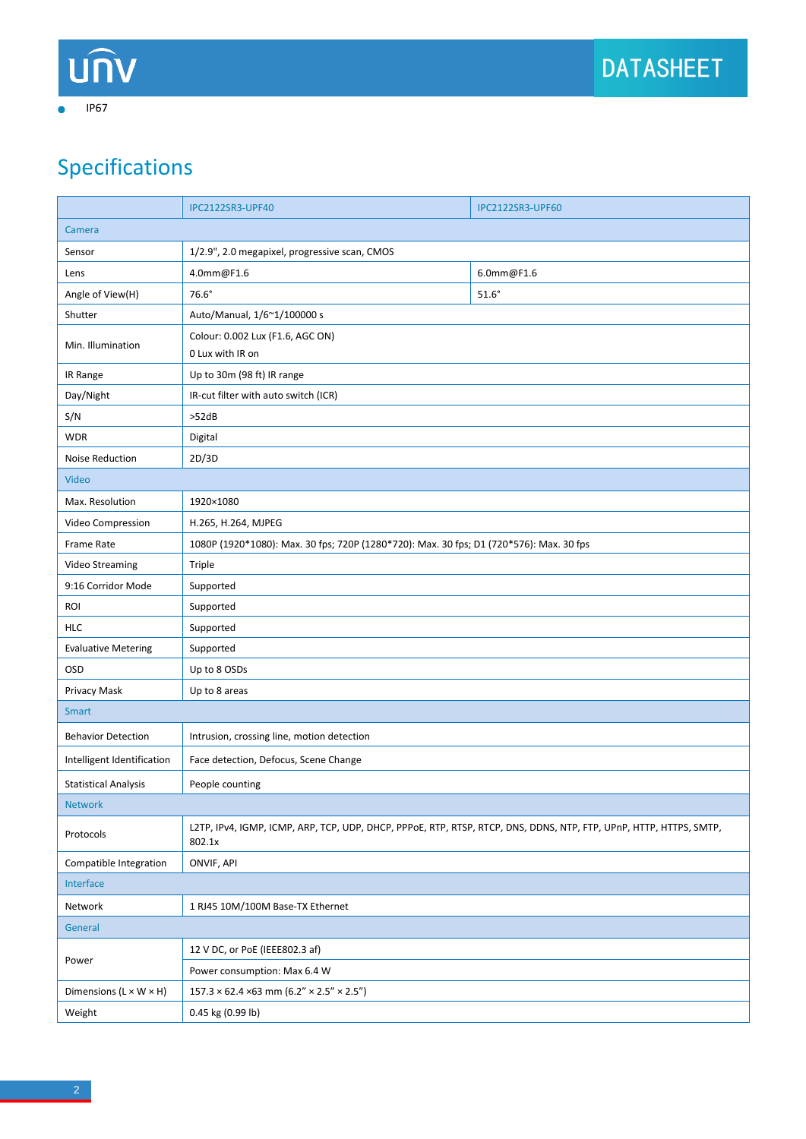IP67

 $\bullet$ 

# Specifications

|                                      | IPC2122SR3-UPF40                                                                                                             | <b>IPC2122SR3-UPF60</b> |  |
|--------------------------------------|------------------------------------------------------------------------------------------------------------------------------|-------------------------|--|
| Camera                               |                                                                                                                              |                         |  |
| Sensor                               | 1/2.9", 2.0 megapixel, progressive scan, CMOS                                                                                |                         |  |
| Lens                                 | 4.0mm@F1.6                                                                                                                   | 6.0mm@F1.6              |  |
| Angle of View(H)                     | $76.6^\circ$                                                                                                                 | $51.6^\circ$            |  |
| Shutter                              | Auto/Manual, 1/6~1/100000 s                                                                                                  |                         |  |
| Min. Illumination                    | Colour: 0.002 Lux (F1.6, AGC ON)                                                                                             |                         |  |
|                                      | 0 Lux with IR on                                                                                                             |                         |  |
| IR Range                             | Up to 30m (98 ft) IR range                                                                                                   |                         |  |
| Day/Night                            | IR-cut filter with auto switch (ICR)                                                                                         |                         |  |
| S/N                                  | >52dB                                                                                                                        |                         |  |
| <b>WDR</b>                           | Digital                                                                                                                      |                         |  |
| Noise Reduction                      | 2D/3D                                                                                                                        |                         |  |
| <b>Video</b>                         |                                                                                                                              |                         |  |
| Max. Resolution                      | 1920×1080                                                                                                                    |                         |  |
| Video Compression                    | H.265, H.264, MJPEG                                                                                                          |                         |  |
| Frame Rate                           | 1080P (1920*1080): Max. 30 fps; 720P (1280*720): Max. 30 fps; D1 (720*576): Max. 30 fps                                      |                         |  |
| Video Streaming                      | Triple                                                                                                                       |                         |  |
| 9:16 Corridor Mode                   | Supported                                                                                                                    |                         |  |
| <b>ROI</b>                           | Supported                                                                                                                    |                         |  |
| <b>HLC</b>                           | Supported                                                                                                                    |                         |  |
| <b>Evaluative Metering</b>           | Supported                                                                                                                    |                         |  |
| OSD                                  | Up to 8 OSDs                                                                                                                 |                         |  |
| Privacy Mask                         | Up to 8 areas                                                                                                                |                         |  |
| <b>Smart</b>                         |                                                                                                                              |                         |  |
| <b>Behavior Detection</b>            | Intrusion, crossing line, motion detection                                                                                   |                         |  |
| Intelligent Identification           | Face detection, Defocus, Scene Change                                                                                        |                         |  |
| <b>Statistical Analysis</b>          | People counting                                                                                                              |                         |  |
| Network                              |                                                                                                                              |                         |  |
| Protocols                            | L2TP, IPv4, IGMP, ICMP, ARP, TCP, UDP, DHCP, PPPoE, RTP, RTSP, RTCP, DNS, DDNS, NTP, FTP, UPnP, HTTP, HTTPS, SMTP,<br>802.1x |                         |  |
| Compatible Integration               | ONVIF, API                                                                                                                   |                         |  |
| Interface                            |                                                                                                                              |                         |  |
| Network                              | 1 RJ45 10M/100M Base-TX Ethernet                                                                                             |                         |  |
| General                              |                                                                                                                              |                         |  |
| Power                                | 12 V DC, or PoE (IEEE802.3 af)                                                                                               |                         |  |
|                                      | Power consumption: Max 6.4 W                                                                                                 |                         |  |
| Dimensions ( $L \times W \times H$ ) | $157.3 \times 62.4 \times 63$ mm $(6.2'' \times 2.5'' \times 2.5'')$                                                         |                         |  |
| Weight                               | 0.45 kg (0.99 lb)                                                                                                            |                         |  |
|                                      |                                                                                                                              |                         |  |